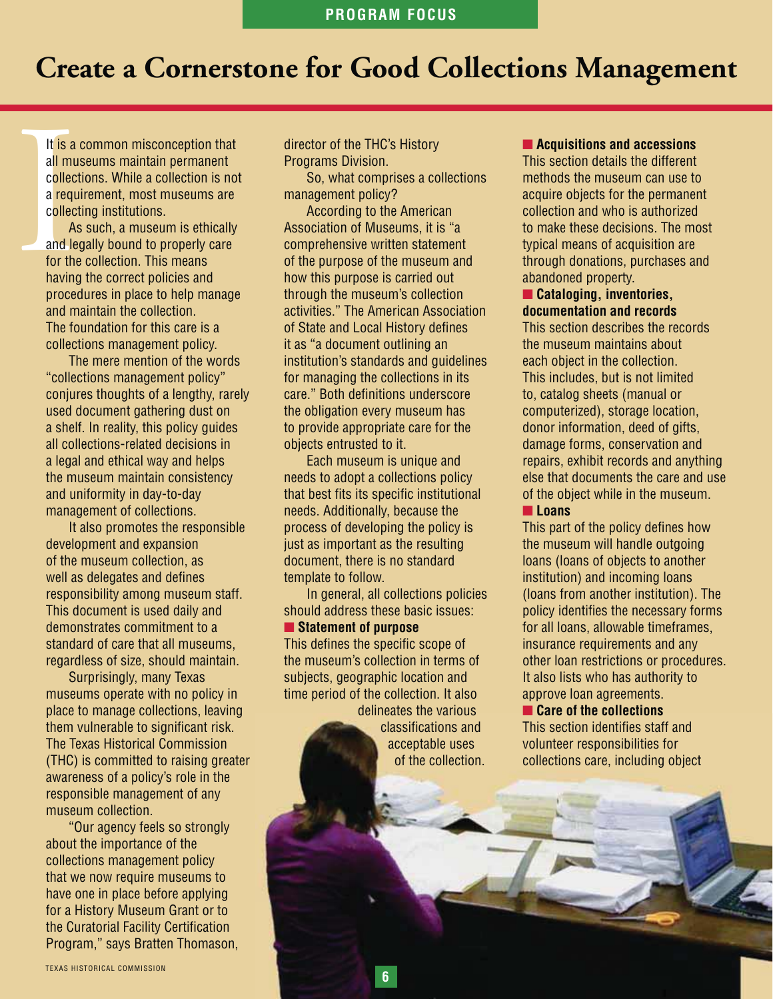# **Create a Cornerstone for Good Collections Management**

It is a<br>all mu<br>collec a requ<br>a requ<br>collec A<br>and le<br>for the<br>having<br>proce It is a common misconception that all museums maintain permanent collections. While a collection is not a requirement, most museums are collecting institutions.

As such, a museum is ethically and legally bound to properly care for the collection. This means having the correct policies and procedures in place to help manage and maintain the collection. The foundation for this care is a collections management policy.

The mere mention of the words "collections management policy" conjures thoughts of a lengthy, rarely used document gathering dust on a shelf. In reality, this policy guides all collections-related decisions in a legal and ethical way and helps the museum maintain consistency and uniformity in day-to-day management of collections.

It also promotes the responsible development and expansion of the museum collection, as well as delegates and defines responsibility among museum staff. This document is used daily and demonstrates commitment to a standard of care that all museums, regardless of size, should maintain.

Surprisingly, many Texas museums operate with no policy in place to manage collections, leaving them vulnerable to significant risk. The Texas Historical Commission (THC) is committed to raising greater awareness of a policy's role in the responsible management of any museum collection.

"Our agency feels so strongly about the importance of the collections management policy that we now require museums to have one in place before applying for a History Museum Grant or to the Curatorial Facility Certification Program," says Bratten Thomason, director of the THC's History Programs Division.

So, what comprises a collections management policy?

According to the American Association of Museums, it is "a comprehensive written statement of the purpose of the museum and how this purpose is carried out through the museum's collection activities." The American Association of State and Local History defines it as "a document outlining an institution's standards and guidelines for managing the collections in its care." Both definitions underscore the obligation every museum has to provide appropriate care for the objects entrusted to it.

Each museum is unique and needs to adopt a collections policy that best fits its specific institutional needs. Additionally, because the process of developing the policy is just as important as the resulting document, there is no standard template to follow.

In general, all collections policies should address these basic issues:

**Exercise Statement of purpose** 

This defines the specific scope of the museum's collection in terms of subjects, geographic location and time period of the collection. It also

**6**

delineates the various classifications and acceptable uses of the collection.

#### **Exercise Acquisitions and accessions**

This section details the different methods the museum can use to acquire objects for the permanent collection and who is authorized to make these decisions. The most typical means of acquisition are through donations, purchases and abandoned property.

## - **Cataloging, inventories, documentation and records**

This section describes the records the museum maintains about each object in the collection. This includes, but is not limited to, catalog sheets (manual or computerized), storage location, donor information, deed of gifts, damage forms, conservation and repairs, exhibit records and anything else that documents the care and use of the object while in the museum.

## - **Loans**

This part of the policy defines how the museum will handle outgoing loans (loans of objects to another institution) and incoming loans (loans from another institution). The policy identifies the necessary forms for all loans, allowable timeframes, insurance requirements and any other loan restrictions or procedures. It also lists who has authority to approve loan agreements.

#### **Example 2 Care of the collections**

This section identifies staff and volunteer responsibilities for collections care, including object